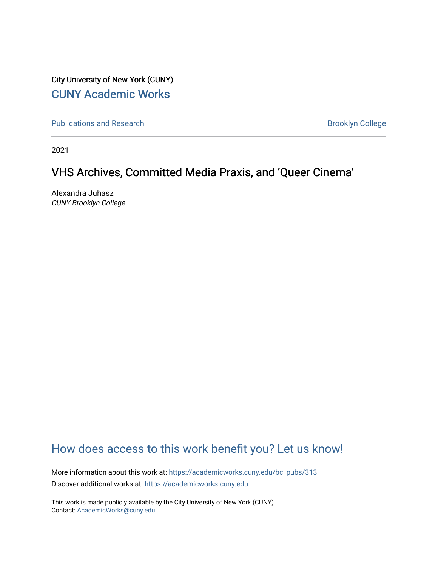City University of New York (CUNY) [CUNY Academic Works](https://academicworks.cuny.edu/) 

[Publications and Research](https://academicworks.cuny.edu/bc_pubs) **Brooklyn College** Brooklyn College

2021

## VHS Archives, Committed Media Praxis, and 'Queer Cinema'

Alexandra Juhasz CUNY Brooklyn College

## [How does access to this work benefit you? Let us know!](http://ols.cuny.edu/academicworks/?ref=https://academicworks.cuny.edu/bc_pubs/313)

More information about this work at: [https://academicworks.cuny.edu/bc\\_pubs/313](https://academicworks.cuny.edu/bc_pubs/313) Discover additional works at: [https://academicworks.cuny.edu](https://academicworks.cuny.edu/?)

This work is made publicly available by the City University of New York (CUNY). Contact: [AcademicWorks@cuny.edu](mailto:AcademicWorks@cuny.edu)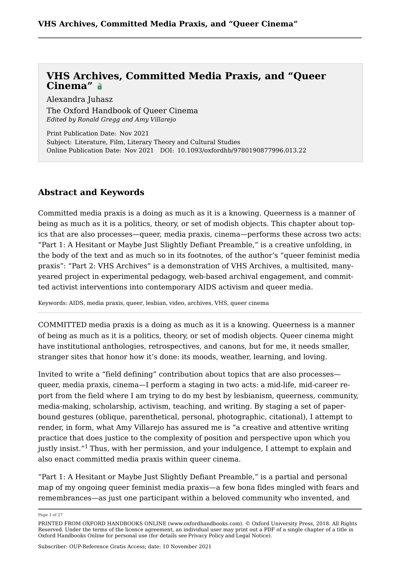Alexandra Juhasz

[The Oxford Handbook of Queer Cinema](https://www.oxfordhandbooks.com/view/10.1093/oxfordhb/9780190877996.001.0001/oxfordhb-9780190877996) *Edited by Ronald Gregg and Amy Villarejo*

Print Publication Date: Nov 2021 Subject: Literature, Film, Literary Theory and Cultural Studies Online Publication Date: Nov 2021 DOI: 10.1093/oxfordhb/9780190877996.013.22

### **Abstract and Keywords**

Committed media praxis is a doing as much as it is a knowing. Queerness is a manner of being as much as it is a politics, theory, or set of modish objects. This chapter about topics that are also processes—queer, media praxis, cinema—performs these across two acts: "Part 1: A Hesitant or Maybe Just Slightly Defiant Preamble," is a creative unfolding, in the body of the text and as much so in its footnotes, of the author's "queer feminist media praxis": "Part 2: VHS Archives" is a demonstration of VHS Archives, a multisited, manyyeared project in experimental pedagogy, web-based archival engagement, and committed activist interventions into contemporary AIDS activism and queer media.

Keywords: [AIDS](https://www.oxfordhandbooks.com/search?f_0=keyword&q_0=AIDS), [media praxis](https://www.oxfordhandbooks.com/search?f_0=keyword&q_0=media praxis), [queer](https://www.oxfordhandbooks.com/search?f_0=keyword&q_0=queer), [lesbian](https://www.oxfordhandbooks.com/search?f_0=keyword&q_0=lesbian), [video](https://www.oxfordhandbooks.com/search?f_0=keyword&q_0=video), [archives,](https://www.oxfordhandbooks.com/search?f_0=keyword&q_0=archives) [VHS](https://www.oxfordhandbooks.com/search?f_0=keyword&q_0=VHS), [queer cinema](https://www.oxfordhandbooks.com/search?f_0=keyword&q_0=queer cinema)

COMMITTED media praxis is a doing as much as it is a knowing. Queerness is a manner of being as much as it is a politics, theory, or set of modish objects. Queer cinema might have institutional anthologies, retrospectives, and canons, but for me, it needs smaller, stranger sites that honor how it's done: its moods, weather, learning, and loving.

Invited to write a "field defining" contribution about topics that are also processes queer, media praxis, cinema—I perform a staging in two acts: a mid-life, mid-career report from the field where I am trying to do my best by lesbianism, queerness, community, media-making, scholarship, activism, teaching, and writing. By staging a set of paperbound gestures (oblique, parenthetical, personal, photographic, citational), I attempt to render, in form, what Amy Villarejo has assured me is "a creative and attentive writing practice that does justice to the complexity of position and perspective upon which you justly insist."<sup>[1](#page-18-0)</sup> Thus, with her permission, and your indulgence, I attempt to explain and also enact committed media praxis within queer cinema.

<span id="page-1-0"></span>"Part 1: A Hesitant or Maybe Just Slightly Defiant Preamble," is a partial and personal map of my ongoing queer feminist media praxis—a few bona fides mingled with fears and remembrances—as just one participant within a beloved community who invented, and

Page 1 of 27

PRINTED FROM OXFORD HANDBOOKS ONLINE (www.oxfordhandbooks.com). © Oxford University Press, 2018. All Rights Reserved. Under the terms of the licence agreement, an individual user may print out a PDF of a single chapter of a title in Oxford Handbooks Online for personal use (for details see [Privacy Policy](https://global.oup.com/privacy) and [Legal Notice\)](https://www.oxfordhandbooks.com/page/legal-notice).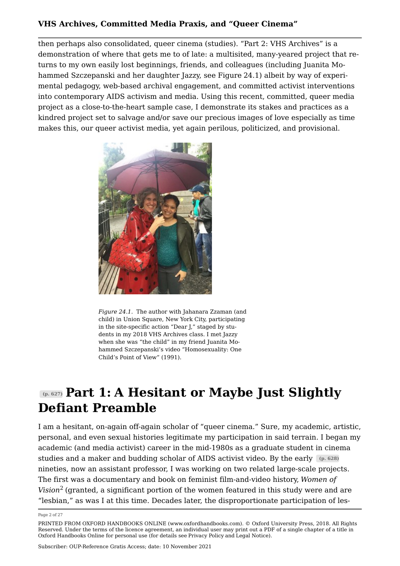then perhaps also consolidated, queer cinema (studies). "Part 2: VHS Archives" is a demonstration of where that gets me to of late: a multisited, many-yeared project that returns to my own easily lost beginnings, friends, and colleagues (including Juanita Mohammed Szczepanski and her daughter Jazzy, see Figure [24.1](#page-2-0)) albeit by way of experimental pedagogy, web-based archival engagement, and committed activist interventions into contemporary AIDS activism and media. Using this recent, committed, queer media project as a close-to-the-heart sample case, I demonstrate its stakes and practices as a kindred project set to salvage and/or save our precious images of love especially as time makes this, our queer activist media, yet again perilous, politicized, and provisional.

<span id="page-2-0"></span>

*Figure 24.1.* The author with Jahanara Zzaman (and child) in Union Square, New York City, participating in the site-specific action "Dear J," staged by students in my 2018 VHS Archives class. I met Jazzy when she was "the child" in my friend Juanita Mohammed Szczepanski's video "Homosexuality: One Child's Point of View" (1991).

# **(p. 627) Part 1: A Hesitant or Maybe Just Slightly Defiant Preamble**

I am a hesitant, on-again off-again scholar of "queer cinema." Sure, my academic, artistic, personal, and even sexual histories legitimate my participation in said terrain. I began my academic (and media activist) career in the mid-1980s as a graduate student in cinema studies and a maker and budding scholar of AIDS activist video. By the early **(p. 628)** nineties, now an assistant professor, I was working on two related large-scale projects. The first was a documentary and book on feminist film-and-video history, *Women of Vision*[2](#page-18-1) (granted, a significant portion of the women featured in this study were and are "lesbian," as was I at this time. Decades later, the disproportionate participation of les

<span id="page-2-1"></span>Page 2 of 27

PRINTED FROM OXFORD HANDBOOKS ONLINE (www.oxfordhandbooks.com). © Oxford University Press, 2018. All Rights Reserved. Under the terms of the licence agreement, an individual user may print out a PDF of a single chapter of a title in Oxford Handbooks Online for personal use (for details see [Privacy Policy](https://global.oup.com/privacy) and [Legal Notice\)](https://www.oxfordhandbooks.com/page/legal-notice).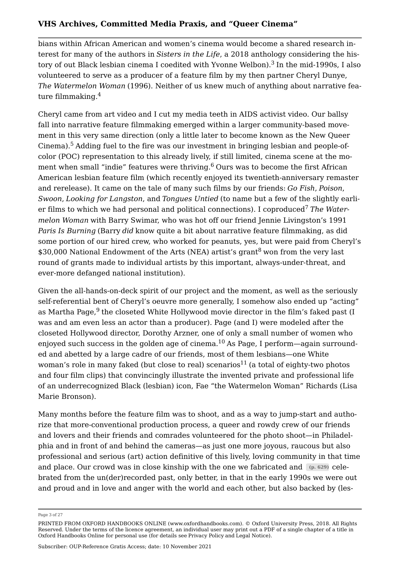<span id="page-3-0"></span>bians within African American and women's cinema would become a shared research interest for many of the authors in *Sisters in the Life*, a 2018 anthology considering the history of out Black lesbian cinema I coedited with Yvonne Welbon).[3](#page-18-2) In the mid-1990s, I also volunteered to serve as a producer of a feature film by my then partner Cheryl Dunye, *The Watermelon Woman* (1996). Neither of us knew much of anything about narrative feature filmmaking.[4](#page-18-3)

<span id="page-3-3"></span><span id="page-3-2"></span><span id="page-3-1"></span>Cheryl came from art video and I cut my media teeth in AIDS activist video. Our ballsy fall into narrative feature filmmaking emerged within a larger community-based movement in this very same direction (only a little later to become known as the New Queer Cinema).[5](#page-19-0) Adding fuel to the fire was our investment in bringing lesbian and people-ofcolor (POC) representation to this already lively, if still limited, cinema scene at the mo-ment when small "indie" features were thriving.<sup>[6](#page-19-1)</sup> Ours was to become the first African American lesbian feature film (which recently enjoyed its twentieth-anniversary remaster and rerelease). It came on the tale of many such films by our friends: *Go Fish*, *Poison*, *Swoon*, *Looking for Langston*, and *Tongues Untied* (to name but a few of the slightly earli-er films to which we had personal and political connections). I coproduced<sup>[7](#page-19-2)</sup> The Water*melon Woman* with Barry Swimar, who was hot off our friend Jennie Livingston's 1991 *Paris Is Burning* (Barry *did* know quite a bit about narrative feature filmmaking, as did some portion of our hired crew, who worked for peanuts, yes, but were paid from Cheryl's \$30,000 National Endowment of the Arts (NEA) artist's grant<sup>[8](#page-19-3)</sup> won from the very last round of grants made to individual artists by this important, always-under-threat, and ever-more defanged national institution).

<span id="page-3-7"></span><span id="page-3-6"></span><span id="page-3-5"></span><span id="page-3-4"></span>Given the all-hands-on-deck spirit of our project and the moment, as well as the seriously self-referential bent of Cheryl's oeuvre more generally, I somehow also ended up "acting" as Martha Page,<sup>[9](#page-19-4)</sup> the closeted White Hollywood movie director in the film's faked past (I was and am even less an actor than a producer). Page (and I) were modeled after the closeted Hollywood director, Dorothy Arzner, one of only a small number of women who enjoyed such success in the golden age of cinema.<sup>[10](#page-20-0)</sup> As Page, I perform—again surrounded and abetted by a large cadre of our friends, most of them lesbians—one White woman's role in many faked (but close to real) scenarios<sup>[11](#page-20-1)</sup> (a total of eighty-two photos and four film clips) that convincingly illustrate the invented private and professional life of an underrecognized Black (lesbian) icon, Fae "the Watermelon Woman" Richards (Lisa Marie Bronson).

<span id="page-3-8"></span>Many months before the feature film was to shoot, and as a way to jump-start and authorize that more-conventional production process, a queer and rowdy crew of our friends and lovers and their friends and comrades volunteered for the photo shoot—in Philadelphia and in front of and behind the cameras—as just one more joyous, raucous but also professional and serious (art) action definitive of this lively, loving community in that time and place. Our crowd was in close kinship with the one we fabricated and **(p. 629)** celebrated from the un(der)recorded past, only better, in that in the early 1990s we were out and proud and in love and anger with the world and each other, but also backed by (les

Page 3 of 27

PRINTED FROM OXFORD HANDBOOKS ONLINE (www.oxfordhandbooks.com). © Oxford University Press, 2018. All Rights Reserved. Under the terms of the licence agreement, an individual user may print out a PDF of a single chapter of a title in Oxford Handbooks Online for personal use (for details see [Privacy Policy](https://global.oup.com/privacy) and [Legal Notice\)](https://www.oxfordhandbooks.com/page/legal-notice).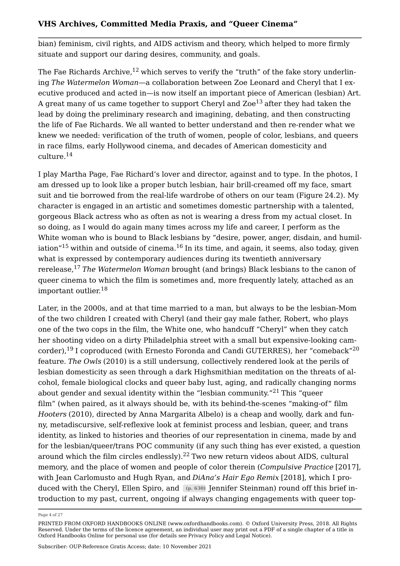bian) feminism, civil rights, and AIDS activism and theory, which helped to more firmly situate and support our daring desires, community, and goals.

<span id="page-4-1"></span><span id="page-4-0"></span>The Fae Richards Archive,  $12$  which serves to verify the "truth" of the fake story underlining *The Watermelon Woman*—a collaboration between Zoe Leonard and Cheryl that I executive produced and acted in—is now itself an important piece of American (lesbian) Art. A great many of us came together to support Cheryl and  $Zoe^{13}$  $Zoe^{13}$  $Zoe^{13}$  after they had taken the lead by doing the preliminary research and imagining, debating, and then constructing the life of Fae Richards. We all wanted to better understand and then re-render what we knew we needed: verification of the truth of women, people of color, lesbians, and queers in race films, early Hollywood cinema, and decades of American domesticity and culture.[14](#page-20-4)

<span id="page-4-2"></span>I play Martha Page, Fae Richard's lover and director, against and to type. In the photos, I am dressed up to look like a proper butch lesbian, hair brill-creamed off my face, smart suit and tie borrowed from the real-life wardrobe of others on our team (Figure [24.2\)](#page-5-0). My character is engaged in an artistic and sometimes domestic partnership with a talented, gorgeous Black actress who as often as not is wearing a dress from my actual closet. In so doing, as I would do again many times across my life and career, I perform as the White woman who is bound to Black lesbians by "desire, power, anger, disdain, and humiliation $15$  within and outside of cinema.<sup>[16](#page-21-1)</sup> In its time, and again, it seems, also today, given what is expressed by contemporary audiences during its twentieth anniversary rerelease,[17](#page-21-2) *The Watermelon Woman* brought (and brings) Black lesbians to the canon of queer cinema to which the film is sometimes and, more frequently lately, attached as an important outlier.[18](#page-22-0)

<span id="page-4-9"></span><span id="page-4-8"></span><span id="page-4-7"></span><span id="page-4-6"></span><span id="page-4-5"></span><span id="page-4-4"></span><span id="page-4-3"></span>Later, in the 2000s, and at that time married to a man, but always to be the lesbian-Mom of the two children I created with Cheryl (and their gay male father, Robert, who plays one of the two cops in the film, the White one, who handcuff "Cheryl" when they catch her shooting video on a dirty Philadelphia street with a small but expensive-looking cam-corder),<sup>[19](#page-22-1)</sup> I coproduced (with Ernesto Foronda and Candi GUTERRES), her "comeback"<sup>[20](#page-22-2)</sup> feature. *The Owls* (2010) is a still undersung, collectively rendered look at the perils of lesbian domesticity as seen through a dark Highsmithian meditation on the threats of alcohol, female biological clocks and queer baby lust, aging, and radically changing norms about gender and sexual identity within the "lesbian community."<sup>[21](#page-22-3)</sup> This "queer film" (when paired, as it always should be, with its behind-the-scenes "making-of" film *Hooters* (2010), directed by Anna Margarita Albelo) is a cheap and woolly, dark and funny, metadiscursive, self-reflexive look at feminist process and lesbian, queer, and trans identity, as linked to histories and theories of our representation in cinema, made by and for the lesbian/queer/trans POC community (if any such thing has ever existed, a question around which the film circles endlessly).<sup>[22](#page-23-0)</sup> Two new return videos about AIDS, cultural memory, and the place of women and people of color therein (*Compulsive Practice* [2017], with Jean Carlomusto and Hugh Ryan, and *DiAna's Hair Ego Remix* [2018], which I produced with the Cheryl, Ellen Spiro, and **(p. 630)** Jennifer Steinman) round off this brief introduction to my past, current, ongoing if always changing engagements with queer top

<span id="page-4-10"></span>Page 4 of 27

PRINTED FROM OXFORD HANDBOOKS ONLINE (www.oxfordhandbooks.com). © Oxford University Press, 2018. All Rights Reserved. Under the terms of the licence agreement, an individual user may print out a PDF of a single chapter of a title in Oxford Handbooks Online for personal use (for details see [Privacy Policy](https://global.oup.com/privacy) and [Legal Notice\)](https://www.oxfordhandbooks.com/page/legal-notice).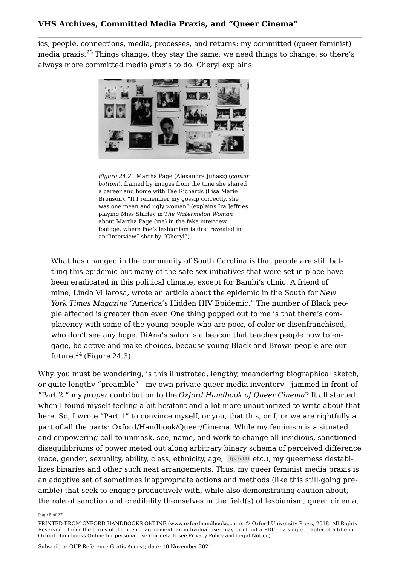ics, people, connections, media, processes, and returns: my committed (queer feminist) media praxis.[23](#page-23-1) Things change, they stay the same; we need things to change, so there's always more committed media praxis to do. Cheryl explains:

<span id="page-5-1"></span><span id="page-5-0"></span>

*Figure 24.2.* Martha Page (Alexandra Juhasz) (*center bottom*), framed by images from the time she shared a career and home with Fae Richards (Lisa Marie Bronson). "If I remember my gossip correctly, she was one mean and ugly woman" (explains Ira Jeffries playing Miss Shirley in *The Watermelon Woman* about Martha Page (me) in the fake interview footage, where Fae's lesbianism is first revealed in an "interview" shot by "Cheryl").

What has changed in the community of South Carolina is that people are still battling this epidemic but many of the safe sex initiatives that were set in place have been eradicated in this political climate, except for Bambi's clinic. A friend of mine, Linda Villarosa, wrote an article about the epidemic in the South for *New York Times Magazine* "America's Hidden HIV Epidemic." The number of Black people affected is greater than ever. One thing popped out to me is that there's complacency with some of the young people who are poor, of color or disenfranchised, who don't see any hope. DiAna's salon is a beacon that teaches people how to engage, be active and make choices, because young Black and Brown people are our future. $24$  (Figure [24.3\)](#page-6-0)

<span id="page-5-2"></span>Why, you must be wondering, is this illustrated, lengthy, meandering biographical sketch, or quite lengthy "preamble"—my own private queer media inventory—jammed in front of "Part 2," my *proper* contribution to the *Oxford Handbook of Queer Cinema*? It all started when I found myself feeling a bit hesitant and a lot more unauthorized to write about that here. So, I wrote "Part 1" to convince myself, or you, that this, or I, or we are rightfully a part of all the parts: Oxford/Handbook/Queer/Cinema. While my feminism is a situated and empowering call to unmask, see, name, and work to change all insidious, sanctioned disequilibriums of power meted out along arbitrary binary schema of perceived difference (race, gender, sexuality, ability, class, ethnicity, age, **(p. 631)** etc.), my queerness destabilizes binaries and other such neat arrangements. Thus, my queer feminist media praxis is an adaptive set of sometimes inappropriate actions and methods (like this still-going preamble) that seek to engage productively with, while also demonstrating caution about, the role of sanction and credibility themselves in the field(s) of lesbianism, queer cinema,

Page 5 of 27

PRINTED FROM OXFORD HANDBOOKS ONLINE (www.oxfordhandbooks.com). © Oxford University Press, 2018. All Rights Reserved. Under the terms of the licence agreement, an individual user may print out a PDF of a single chapter of a title in Oxford Handbooks Online for personal use (for details see [Privacy Policy](https://global.oup.com/privacy) and [Legal Notice\)](https://www.oxfordhandbooks.com/page/legal-notice).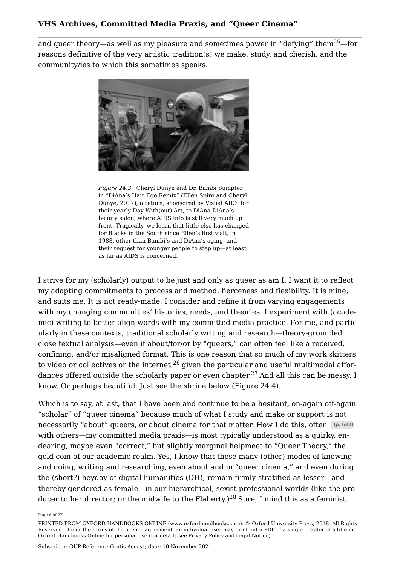and queer theory—as well as my pleasure and sometimes power in "defying" them<sup>[25](#page-23-3)</sup>—for reasons definitive of the very artistic tradition(s) we make, study, and cherish, and the community/ies to which this sometimes speaks.

<span id="page-6-1"></span><span id="page-6-0"></span>

*Figure 24.3.* Cheryl Dunye and Dr. Bambi Sumpter in "DiAna's Hair Ego Remix" (Ellen Spiro and Cheryl Dunye, 2017), a return, sponsored by Visual AIDS for their yearly Day With(out) Art, to DiAna DiAna's beauty salon, where AIDS info is still very much up front. Tragically, we learn that little else has changed for Blacks in the South since Ellen's first visit, in 1988, other than Bambi's and DiAna's aging, and their request for younger people to step up—at least as far as AIDS is concerned.

I strive for my (scholarly) output to be just and only as queer as am I. I want it to reflect my adapting commitments to process and method, fierceness and flexibility. It is mine, and suits me. It is not ready-made. I consider and refine it from varying engagements with my changing communities' histories, needs, and theories. I experiment with (academic) writing to better align words with my committed media practice. For me, and particularly in these contexts, traditional scholarly writing and research—theory-grounded close textual analysis—even if about/for/or by "queers," can often feel like a received, confining, and/or misaligned format. This is one reason that so much of my work skitters to video or collectives or the internet,  $26$  given the particular and useful multimodal affor-dances offered outside the scholarly paper or even chapter.<sup>[27](#page-24-0)</sup> And all this can be messv. I know. Or perhaps beautiful. Just see the shrine below (Figure [24.4\)](#page-7-0).

<span id="page-6-3"></span><span id="page-6-2"></span>Which is to say, at last, that I have been and continue to be a hesitant, on-again off-again "scholar" of "queer cinema" because much of what I study and make or support is not necessarily "about" queers, or about cinema for that matter. How I do this, often **(p. 632)** with others—my committed media praxis—is most typically understood as a quirky, endearing, maybe even "correct," but slightly marginal helpmeet to "Queer Theory," the gold coin of our academic realm. Yes, I know that these many (other) modes of knowing and doing, writing and researching, even about and in "queer cinema," and even during the (short?) heyday of digital humanities (DH), remain firmly stratified as lesser—and thereby gendered as female—in our hierarchical, sexist professional worlds (like the pro-ducer to her director; or the midwife to the Flaherty.)<sup>[28](#page-24-1)</sup> Sure, I mind this as a feminist.

<span id="page-6-4"></span>Page 6 of 27

PRINTED FROM OXFORD HANDBOOKS ONLINE (www.oxfordhandbooks.com). © Oxford University Press, 2018. All Rights Reserved. Under the terms of the licence agreement, an individual user may print out a PDF of a single chapter of a title in Oxford Handbooks Online for personal use (for details see [Privacy Policy](https://global.oup.com/privacy) and [Legal Notice\)](https://www.oxfordhandbooks.com/page/legal-notice).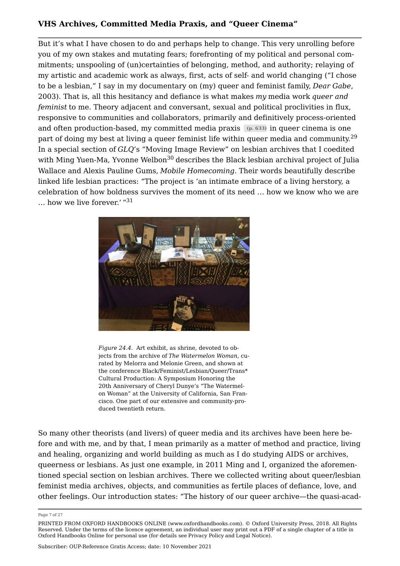But it's what I have chosen to do and perhaps help to change. This very unrolling before you of my own stakes and mutating fears; forefronting of my political and personal commitments; unspooling of (un)certainties of belonging, method, and authority; relaying of my artistic and academic work as always, first, acts of self- and world changing ("I chose to be a lesbian," I say in my documentary on (my) queer and feminist family, *Dear Gabe*, 2003). That is, all this hesitancy and defiance is what makes *my* media work *queer and feminist* to me. Theory adjacent and conversant, sexual and political proclivities in flux, responsive to communities and collaborators, primarily and definitively process-oriented and often production-based, my committed media praxis **(p. 633)** in queer cinema is one part of doing my best at living a queer feminist life within queer media and community.<sup>[29](#page-24-2)</sup> In a special section of *GLQ*'s "Moving Image Review" on lesbian archives that I coedited with Ming Yuen-Ma, Yvonne Welbon<sup>[30](#page-24-3)</sup> describes the Black lesbian archival project of Julia Wallace and Alexis Pauline Gums, *Mobile Homecoming*. Their words beautifully describe linked life lesbian practices: "The project is 'an intimate embrace of a living herstory, a celebration of how boldness survives the moment of its need … how we know who we are … how we live forever.' "[31](#page-24-4)

<span id="page-7-3"></span><span id="page-7-2"></span><span id="page-7-1"></span><span id="page-7-0"></span>

*Figure 24.4.* Art exhibit, as shrine, devoted to objects from the archive of *The Watermelon Woman*, curated by Melorra and Melonie Green, and shown at the conference Black/Feminist/Lesbian/Queer/Trans\* Cultural Production: A Symposium Honoring the 20th Anniversary of Cheryl Dunye's "The Watermelon Woman" at the University of California, San Francisco. One part of our extensive and community-produced twentieth return.

So many other theorists (and livers) of queer media and its archives have been here before and with me, and by that, I mean primarily as a matter of method and practice, living and healing, organizing and world building as much as I do studying AIDS or archives, queerness or lesbians. As just one example, in 2011 Ming and I, organized the aforementioned special section on lesbian archives. There we collected writing about queer/lesbian feminist media archives, objects, and communities as fertile places of defiance, love, and other feelings. Our introduction states: "The history of our queer archive—the quasi-acad

Page 7 of 27

PRINTED FROM OXFORD HANDBOOKS ONLINE (www.oxfordhandbooks.com). © Oxford University Press, 2018. All Rights Reserved. Under the terms of the licence agreement, an individual user may print out a PDF of a single chapter of a title in Oxford Handbooks Online for personal use (for details see [Privacy Policy](https://global.oup.com/privacy) and [Legal Notice\)](https://www.oxfordhandbooks.com/page/legal-notice).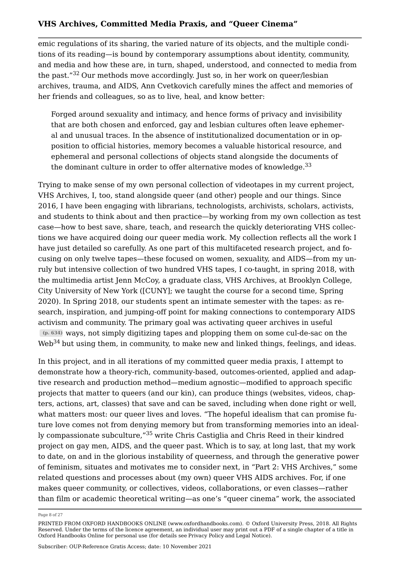emic regulations of its sharing, the varied nature of its objects, and the multiple conditions of its reading—is bound by contemporary assumptions about identity, community, and media and how these are, in turn, shaped, understood, and connected to media from the past."[32](#page-24-5) Our methods move accordingly. Just so, in her work on queer/lesbian archives, trauma, and AIDS, Ann Cvetkovich carefully mines the affect and memories of her friends and colleagues, so as to live, heal, and know better:

<span id="page-8-1"></span><span id="page-8-0"></span>Forged around sexuality and intimacy, and hence forms of privacy and invisibility that are both chosen and enforced, gay and lesbian cultures often leave ephemeral and unusual traces. In the absence of institutionalized documentation or in opposition to official histories, memory becomes a valuable historical resource, and ephemeral and personal collections of objects stand alongside the documents of the dominant culture in order to offer alternative modes of knowledge.<sup>[33](#page-24-6)</sup>

Trying to make sense of my own personal collection of videotapes in my current project, VHS Archives, I, too, stand alongside queer (and other) people and our things. Since 2016, I have been engaging with librarians, technologists, archivists, scholars, activists, and students to think about and then practice—by working from my own collection as test case—how to best save, share, teach, and research the quickly deteriorating VHS collections we have acquired doing our queer media work. My collection reflects all the work I have just detailed so carefully. As one part of this multifaceted research project, and focusing on only twelve tapes—these focused on women, sexuality, and AIDS—from my unruly but intensive collection of two hundred VHS tapes, I co-taught, in spring 2018, with the multimedia artist Jenn McCoy, a graduate class, VHS Archives, at Brooklyn College, City University of New York ([CUNY]; we taught the course for a second time, Spring 2020). In Spring 2018, our students spent an intimate semester with the tapes: as research, inspiration, and jumping-off point for making connections to contemporary AIDS activism and community. The primary goal was activating queer archives in useful **(p. 634)** ways, not simply digitizing tapes and plopping them on some cul-de-sac on the Web<sup>[34](#page-24-7)</sup> but using them, in community, to make new and linked things, feelings, and ideas.

<span id="page-8-3"></span><span id="page-8-2"></span>In this project, and in all iterations of my committed queer media praxis, I attempt to demonstrate how a theory-rich, community-based, outcomes-oriented, applied and adaptive research and production method—medium agnostic—modified to approach specific projects that matter to queers (and our kin), can produce things (websites, videos, chapters, actions, art, classes) that save and can be saved, including when done right or well, what matters most: our queer lives and loves. "The hopeful idealism that can promise future love comes not from denying memory but from transforming memories into an ideally compassionate subculture,"[35](#page-24-8) write Chris Castiglia and Chris Reed in their kindred project on gay men, AIDS, and the queer past. Which is to say, at long last, that my work to date, on and in the glorious instability of queerness, and through the generative power of feminism, situates and motivates me to consider next, in "Part 2: VHS Archives," some related questions and processes about (my own) queer VHS AIDS archives. For, if one makes queer community, or collectives, videos, collaborations, or even classes—rather than film or academic theoretical writing—as one's "queer cinema" work, the associated

Page 8 of 27

PRINTED FROM OXFORD HANDBOOKS ONLINE (www.oxfordhandbooks.com). © Oxford University Press, 2018. All Rights Reserved. Under the terms of the licence agreement, an individual user may print out a PDF of a single chapter of a title in Oxford Handbooks Online for personal use (for details see [Privacy Policy](https://global.oup.com/privacy) and [Legal Notice\)](https://www.oxfordhandbooks.com/page/legal-notice).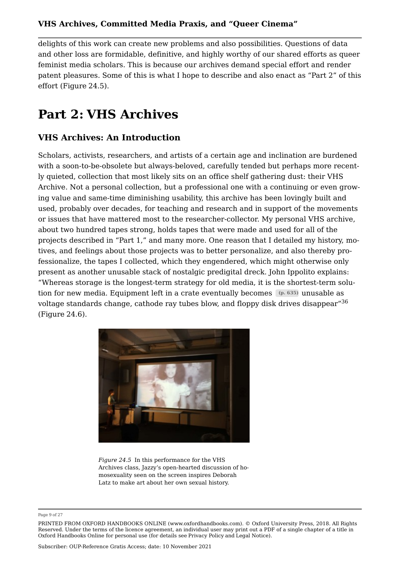delights of this work can create new problems and also possibilities. Questions of data and other loss are formidable, definitive, and highly worthy of our shared efforts as queer feminist media scholars. This is because our archives demand special effort and render patent pleasures. Some of this is what I hope to describe and also enact as "Part 2" of this effort (Figure [24.5](#page-9-0)).

# **Part 2: VHS Archives**

### **VHS Archives: An Introduction**

Scholars, activists, researchers, and artists of a certain age and inclination are burdened with a soon-to-be-obsolete but always-beloved, carefully tended but perhaps more recently quieted, collection that most likely sits on an office shelf gathering dust: their VHS Archive. Not a personal collection, but a professional one with a continuing or even growing value and same-time diminishing usability, this archive has been lovingly built and used, probably over decades, for teaching and research and in support of the movements or issues that have mattered most to the researcher-collector. My personal VHS archive, about two hundred tapes strong, holds tapes that were made and used for all of the projects described in "Part 1," and many more. One reason that I detailed my history, motives, and feelings about those projects was to better personalize, and also thereby professionalize, the tapes I collected, which they engendered, which might otherwise only present as another unusable stack of nostalgic predigital dreck. John Ippolito explains: "Whereas storage is the longest-term strategy for old media, it is the shortest-term solution for new media. Equipment left in a crate eventually becomes **(p. 635)** unusable as voltage standards change, cathode ray tubes blow, and floppy disk drives disappear"[36](#page-25-0) (Figure [24.6](#page-10-0)).

<span id="page-9-1"></span><span id="page-9-0"></span>

*Figure 24.5* In this performance for the VHS Archives class, Jazzy's open-hearted discussion of homosexuality seen on the screen inspires Deborah Latz to make art about her own sexual history.

Page 9 of 27

PRINTED FROM OXFORD HANDBOOKS ONLINE (www.oxfordhandbooks.com). © Oxford University Press, 2018. All Rights Reserved. Under the terms of the licence agreement, an individual user may print out a PDF of a single chapter of a title in Oxford Handbooks Online for personal use (for details see [Privacy Policy](https://global.oup.com/privacy) and [Legal Notice\)](https://www.oxfordhandbooks.com/page/legal-notice).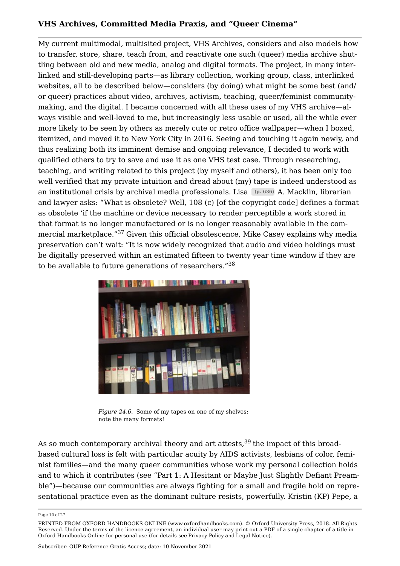My current multimodal, multisited project, VHS Archives, considers and also models how to transfer, store, share, teach from, and reactivate one such (queer) media archive shuttling between old and new media, analog and digital formats. The project, in many interlinked and still-developing parts—as library collection, working group, class, interlinked websites, all to be described below—considers (by doing) what might be some best (and/ or queer) practices about video, archives, activism, teaching, queer/feminist communitymaking, and the digital. I became concerned with all these uses of my VHS archive—always visible and well-loved to me, but increasingly less usable or used, all the while ever more likely to be seen by others as merely cute or retro office wallpaper—when I boxed, itemized, and moved it to New York City in 2016. Seeing and touching it again newly, and thus realizing both its imminent demise and ongoing relevance, I decided to work with qualified others to try to save and use it as one VHS test case. Through researching, teaching, and writing related to this project (by myself and others), it has been only too well verified that my private intuition and dread about (my) tape is indeed understood as an institutional crisis by archival media professionals. Lisa **(p. 636)** A. Macklin, librarian and lawyer asks: "What is obsolete? Well, 108 (c) [of the copyright code] defines a format as obsolete 'if the machine or device necessary to render perceptible a work stored in that format is no longer manufactured or is no longer reasonably available in the commercial marketplace."[37](#page-25-1) Given this official obsolescence, Mike Casey explains why media preservation can't wait: "It is now widely recognized that audio and video holdings must be digitally preserved within an estimated fifteen to twenty year time window if they are to be available to future generations of researchers."<sup>[38](#page-25-2)</sup>

<span id="page-10-2"></span><span id="page-10-1"></span><span id="page-10-0"></span>

<span id="page-10-3"></span>*Figure 24.6.* Some of my tapes on one of my shelves; note the many formats!

As so much contemporary archival theory and art attests,  $39$  the impact of this broadbased cultural loss is felt with particular acuity by AIDS activists, lesbians of color, feminist families—and the many queer communities whose work my personal collection holds and to which it contributes (see "Part 1: A Hesitant or Maybe Just Slightly Defiant Preamble")—because our communities are always fighting for a small and fragile hold on representational practice even as the dominant culture resists, powerfully. Kristin (KP) Pepe, a

Page 10 of 27

PRINTED FROM OXFORD HANDBOOKS ONLINE (www.oxfordhandbooks.com). © Oxford University Press, 2018. All Rights Reserved. Under the terms of the licence agreement, an individual user may print out a PDF of a single chapter of a title in Oxford Handbooks Online for personal use (for details see [Privacy Policy](https://global.oup.com/privacy) and [Legal Notice\)](https://www.oxfordhandbooks.com/page/legal-notice).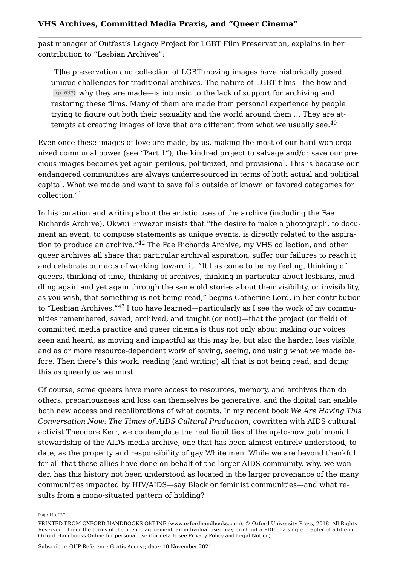past manager of Outfest's Legacy Project for LGBT Film Preservation, explains in her contribution to "Lesbian Archives":

<span id="page-11-0"></span>[T]he preservation and collection of LGBT moving images have historically posed unique challenges for traditional archives. The nature of LGBT films—the how and **(p. 637)** why they are made—is intrinsic to the lack of support for archiving and restoring these films. Many of them are made from personal experience by people trying to figure out both their sexuality and the world around them … They are attempts at creating images of love that are different from what we usually see. $40$ 

Even once these images of love are made, by us, making the most of our hard-won organized communal power (see "Part 1"), the kindred project to salvage and/or save our precious images becomes yet again perilous, politicized, and provisional. This is because our endangered communities are always underresourced in terms of both actual and political capital. What we made and want to save falls outside of known or favored categories for collection.[41](#page-25-5)

<span id="page-11-2"></span><span id="page-11-1"></span>In his curation and writing about the artistic uses of the archive (including the Fae Richards Archive), Okwui Enwezor insists that "the desire to make a photograph, to document an event, to compose statements as unique events, is directly related to the aspiration to produce an archive."[42](#page-25-6) The Fae Richards Archive, my VHS collection, and other queer archives all share that particular archival aspiration, suffer our failures to reach it, and celebrate our acts of working toward it. "It has come to be my feeling, thinking of queers, thinking of time, thinking of archives, thinking in particular about lesbians, muddling again and yet again through the same old stories about their visibility, or invisibility, as you wish, that something is not being read," begins Catherine Lord, in her contribution to "Lesbian Archives."<sup>[43](#page-25-7)</sup> I too have learned—particularly as I see the work of my communities remembered, saved, archived, and taught (or not!)—that the project (or field) of committed media practice and queer cinema is thus not only about making our voices seen and heard, as moving and impactful as this may be, but also the harder, less visible, and as or more resource-dependent work of saving, seeing, and using what we made before. Then there's this work: reading (and writing) all that is not being read, and doing this as queerly as we must.

<span id="page-11-3"></span>Of course, some queers have more access to resources, memory, and archives than do others, precariousness and loss can themselves be generative, and the digital can enable both new access and recalibrations of what counts. In my recent book *We Are Having This Conversation Now: The Times of AIDS Cultural Production*, cowritten with AIDS cultural activist Theodore Kerr, we contemplate the real liabilities of the up-to-now patrimonial stewardship of the AIDS media archive, one that has been almost entirely understood, to date, as the property and responsibility of gay White men. While we are beyond thankful for all that these allies have done on behalf of the larger AIDS community, why, we wonder, has this history not been understood as located in the larger provenance of the many communities impacted by HIV/AIDS—say Black or feminist communities—and what results from a mono-situated pattern of holding?

Page 11 of 27

PRINTED FROM OXFORD HANDBOOKS ONLINE (www.oxfordhandbooks.com). © Oxford University Press, 2018. All Rights Reserved. Under the terms of the licence agreement, an individual user may print out a PDF of a single chapter of a title in Oxford Handbooks Online for personal use (for details see [Privacy Policy](https://global.oup.com/privacy) and [Legal Notice\)](https://www.oxfordhandbooks.com/page/legal-notice).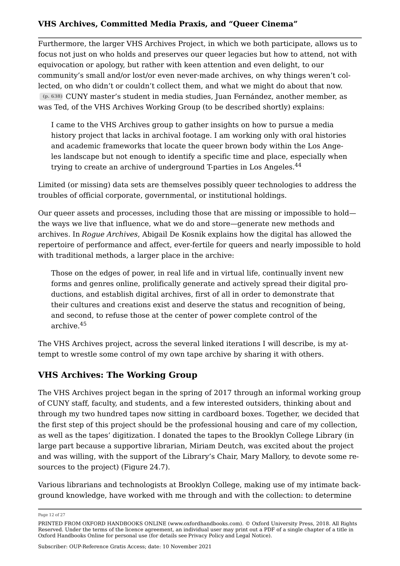Furthermore, the larger VHS Archives Project, in which we both participate, allows us to focus not just on who holds and preserves our queer legacies but how to attend, not with equivocation or apology, but rather with keen attention and even delight, to our community's small and/or lost/or even never-made archives, on why things weren't collected, on who didn't or couldn't collect them, and what we might do about that now. **(p. 638)** CUNY master's student in media studies, Juan Fernández, another member, as was Ted, of the VHS Archives Working Group (to be described shortly) explains:

<span id="page-12-0"></span>I came to the VHS Archives group to gather insights on how to pursue a media history project that lacks in archival footage. I am working only with oral histories and academic frameworks that locate the queer brown body within the Los Angeles landscape but not enough to identify a specific time and place, especially when trying to create an archive of underground T-parties in Los Angeles.<sup>[44](#page-25-8)</sup>

Limited (or missing) data sets are themselves possibly queer technologies to address the troubles of official corporate, governmental, or institutional holdings.

Our queer assets and processes, including those that are missing or impossible to hold the ways we live that influence, what we do and store—generate new methods and archives. In *Rogue Archives*, Abigail De Kosnik explains how the digital has allowed the repertoire of performance and affect, ever-fertile for queers and nearly impossible to hold with traditional methods, a larger place in the archive:

Those on the edges of power, in real life and in virtual life, continually invent new forms and genres online, prolifically generate and actively spread their digital productions, and establish digital archives, first of all in order to demonstrate that their cultures and creations exist and deserve the status and recognition of being, and second, to refuse those at the center of power complete control of the archive.[45](#page-25-9)

<span id="page-12-1"></span>The VHS Archives project, across the several linked iterations I will describe, is my attempt to wrestle some control of my own tape archive by sharing it with others.

### **VHS Archives: The Working Group**

The VHS Archives project began in the spring of 2017 through an informal working group of CUNY staff, faculty, and students, and a few interested outsiders, thinking about and through my two hundred tapes now sitting in cardboard boxes. Together, we decided that the first step of this project should be the professional housing and care of my collection, as well as the tapes' digitization. I donated the tapes to the Brooklyn College Library (in large part because a supportive librarian, Miriam Deutch, was excited about the project and was willing, with the support of the Library's Chair, Mary Mallory, to devote some resources to the project) (Figure [24.7\)](#page-13-0).

Various librarians and technologists at Brooklyn College, making use of my intimate background knowledge, have worked with me through and with the collection: to determine

Page 12 of 27

PRINTED FROM OXFORD HANDBOOKS ONLINE (www.oxfordhandbooks.com). © Oxford University Press, 2018. All Rights Reserved. Under the terms of the licence agreement, an individual user may print out a PDF of a single chapter of a title in Oxford Handbooks Online for personal use (for details see [Privacy Policy](https://global.oup.com/privacy) and [Legal Notice\)](https://www.oxfordhandbooks.com/page/legal-notice).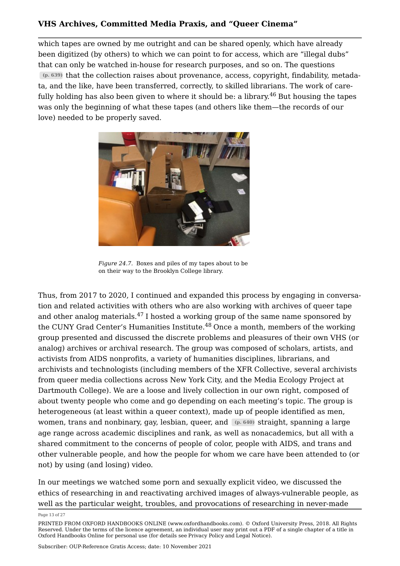which tapes are owned by me outright and can be shared openly, which have already been digitized (by others) to which we can point to for access, which are "illegal dubs" that can only be watched in-house for research purposes, and so on. The questions **(p. 639)** that the collection raises about provenance, access, copyright, findability, metadata, and the like, have been transferred, correctly, to skilled librarians. The work of care-fully holding has also been given to where it should be: a library.<sup>[46](#page-25-10)</sup> But housing the tapes was only the beginning of what these tapes (and others like them—the records of our love) needed to be properly saved.

<span id="page-13-1"></span><span id="page-13-0"></span>

*Figure 24.7.* Boxes and piles of my tapes about to be on their way to the Brooklyn College library.

<span id="page-13-3"></span><span id="page-13-2"></span>Thus, from 2017 to 2020, I continued and expanded this process by engaging in conversation and related activities with others who are also working with archives of queer tape and other analog materials. $47$  I hosted a working group of the same name sponsored by the CUNY Grad Center's Humanities Institute. $48$  Once a month, members of the working group presented and discussed the discrete problems and pleasures of their own VHS (or analog) archives or archival research. The group was composed of scholars, artists, and activists from AIDS nonprofits, a variety of humanities disciplines, librarians, and archivists and technologists (including members of the XFR Collective, several archivists from queer media collections across New York City, and the Media Ecology Project at Dartmouth College). We are a loose and lively collection in our own right, composed of about twenty people who come and go depending on each meeting's topic. The group is heterogeneous (at least within a queer context), made up of people identified as men, women, trans and nonbinary, gay, lesbian, queer, and **(p. 640)** straight, spanning a large age range across academic disciplines and rank, as well as nonacademics, but all with a shared commitment to the concerns of people of color, people with AIDS, and trans and other vulnerable people, and how the people for whom we care have been attended to (or not) by using (and losing) video.

In our meetings we watched some porn and sexually explicit video, we discussed the ethics of researching in and reactivating archived images of always-vulnerable people, as well as the particular weight, troubles, and provocations of researching in never-made

Page 13 of 27

PRINTED FROM OXFORD HANDBOOKS ONLINE (www.oxfordhandbooks.com). © Oxford University Press, 2018. All Rights Reserved. Under the terms of the licence agreement, an individual user may print out a PDF of a single chapter of a title in Oxford Handbooks Online for personal use (for details see [Privacy Policy](https://global.oup.com/privacy) and [Legal Notice\)](https://www.oxfordhandbooks.com/page/legal-notice).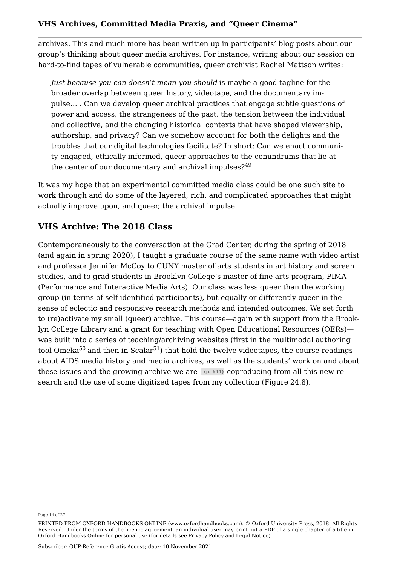archives. This and much more has been written up in participants' blog posts about our group's thinking about queer media archives. For instance, writing about our session on hard-to-find tapes of vulnerable communities, queer archivist Rachel Mattson writes:

*Just because you can doesn't mean you should* is maybe a good tagline for the broader overlap between queer history, videotape, and the documentary impulse… . Can we develop queer archival practices that engage subtle questions of power and access, the strangeness of the past, the tension between the individual and collective, and the changing historical contexts that have shaped viewership, authorship, and privacy? Can we somehow account for both the delights and the troubles that our digital technologies facilitate? In short: Can we enact community-engaged, ethically informed, queer approaches to the conundrums that lie at the center of our documentary and archival impulses?<sup>[49](#page-26-1)</sup>

<span id="page-14-0"></span>It was my hope that an experimental committed media class could be one such site to work through and do some of the layered, rich, and complicated approaches that might actually improve upon, and queer, the archival impulse.

### **VHS Archive: The 2018 Class**

<span id="page-14-2"></span><span id="page-14-1"></span>Contemporaneously to the conversation at the Grad Center, during the spring of 2018 (and again in spring 2020), I taught a graduate course of the same name with video artist and professor Jennifer McCoy to CUNY master of arts students in art history and screen studies, and to grad students in Brooklyn College's master of fine arts program, PIMA (Performance and Interactive Media Arts). Our class was less queer than the working group (in terms of self-identified participants), but equally or differently queer in the sense of eclectic and responsive research methods and intended outcomes. We set forth to (re)activate my small (queer) archive. This course—again with support from the Brooklyn College Library and a grant for teaching with Open Educational Resources (OERs) was built into a series of teaching/archiving websites (first in the multimodal authoring tool Omeka<sup>[50](#page-26-2)</sup> and then in Scalar<sup>[51](#page-26-3)</sup>) that hold the twelve videotapes, the course readings about AIDS media history and media archives, as well as the students' work on and about these issues and the growing archive we are **(p. 641)** coproducing from all this new research and the use of some digitized tapes from my collection (Figure [24.8](#page-15-0)).

Page 14 of 27

PRINTED FROM OXFORD HANDBOOKS ONLINE (www.oxfordhandbooks.com). © Oxford University Press, 2018. All Rights Reserved. Under the terms of the licence agreement, an individual user may print out a PDF of a single chapter of a title in Oxford Handbooks Online for personal use (for details see [Privacy Policy](https://global.oup.com/privacy) and [Legal Notice\)](https://www.oxfordhandbooks.com/page/legal-notice).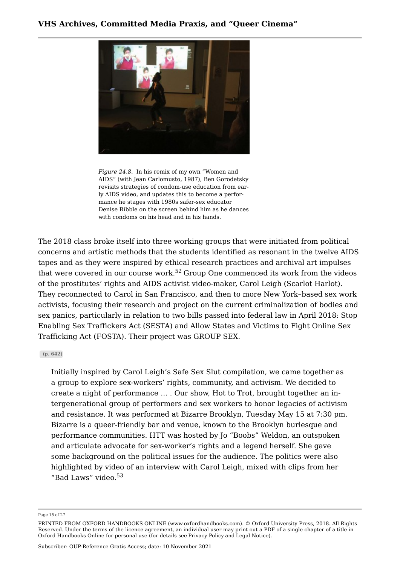<span id="page-15-0"></span>

*Figure 24.8.* In his remix of my own "Women and AIDS" (with Jean Carlomusto, 1987), Ben Gorodetsky revisits strategies of condom-use education from early AIDS video, and updates this to become a performance he stages with 1980s safer-sex educator Denise Ribble on the screen behind him as he dances with condoms on his head and in his hands.

<span id="page-15-1"></span>The 2018 class broke itself into three working groups that were initiated from political concerns and artistic methods that the students identified as resonant in the twelve AIDS tapes and as they were inspired by ethical research practices and archival art impulses that were covered in our course work.<sup>[52](#page-26-4)</sup> Group One commenced its work from the videos of the prostitutes' rights and AIDS activist video-maker, Carol Leigh (Scarlot Harlot). They reconnected to Carol in San Francisco, and then to more New York–based sex work activists, focusing their research and project on the current criminalization of bodies and sex panics, particularly in relation to two bills passed into federal law in April 2018: Stop Enabling Sex Traffickers Act (SESTA) and Allow States and Victims to Fight Online Sex Trafficking Act (FOSTA). Their project was GROUP SEX.

#### **(p. 642)**

Initially inspired by Carol Leigh's Safe Sex Slut compilation, we came together as a group to explore sex-workers' rights, community, and activism. We decided to create a night of performance … . Our show, Hot to Trot, brought together an intergenerational group of performers and sex workers to honor legacies of activism and resistance. It was performed at Bizarre Brooklyn, Tuesday May 15 at 7:30 pm. Bizarre is a queer-friendly bar and venue, known to the Brooklyn burlesque and performance communities. HTT was hosted by Jo "Boobs" Weldon, an outspoken and articulate advocate for sex-worker's rights and a legend herself. She gave some background on the political issues for the audience. The politics were also highlighted by video of an interview with Carol Leigh, mixed with clips from her "Bad Laws" video. $53$ 

<span id="page-15-2"></span>Page 15 of 27

PRINTED FROM OXFORD HANDBOOKS ONLINE (www.oxfordhandbooks.com). © Oxford University Press, 2018. All Rights Reserved. Under the terms of the licence agreement, an individual user may print out a PDF of a single chapter of a title in Oxford Handbooks Online for personal use (for details see [Privacy Policy](https://global.oup.com/privacy) and [Legal Notice\)](https://www.oxfordhandbooks.com/page/legal-notice).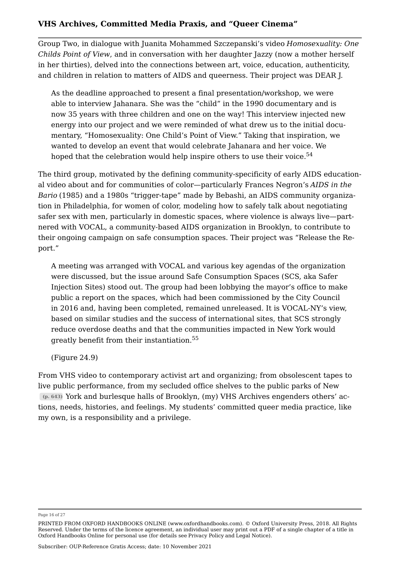Group Two, in dialogue with Juanita Mohammed Szczepanski's video *Homosexuality: One Childs Point of View*, and in conversation with her daughter Jazzy (now a mother herself in her thirties), delved into the connections between art, voice, education, authenticity, and children in relation to matters of AIDS and queerness. Their project was DEAR J.

<span id="page-16-0"></span>As the deadline approached to present a final presentation/workshop, we were able to interview Jahanara. She was the "child" in the 1990 documentary and is now 35 years with three children and one on the way! This interview injected new energy into our project and we were reminded of what drew us to the initial documentary, "Homosexuality: One Child's Point of View." Taking that inspiration, we wanted to develop an event that would celebrate Jahanara and her voice. We hoped that the celebration would help inspire others to use their voice.<sup>[54](#page-26-6)</sup>

The third group, motivated by the defining community-specificity of early AIDS educational video about and for communities of color—particularly Frances Negron's *AIDS in the Bario* (1985) and a 1980s "trigger-tape" made by Bebashi, an AIDS community organization in Philadelphia, for women of color, modeling how to safely talk about negotiating safer sex with men, particularly in domestic spaces, where violence is always live—partnered with VOCAL, a community-based AIDS organization in Brooklyn, to contribute to their ongoing campaign on safe consumption spaces. Their project was "Release the Report."

A meeting was arranged with VOCAL and various key agendas of the organization were discussed, but the issue around Safe Consumption Spaces (SCS, aka Safer Injection Sites) stood out. The group had been lobbying the mayor's office to make public a report on the spaces, which had been commissioned by the City Council in 2016 and, having been completed, remained unreleased. It is VOCAL-NY's view, based on similar studies and the success of international sites, that SCS strongly reduce overdose deaths and that the communities impacted in New York would greatly benefit from their instantiation.[55](#page-26-7)

<span id="page-16-1"></span>(Figure [24.9\)](#page-17-0)

From VHS video to contemporary activist art and organizing; from obsolescent tapes to live public performance, from my secluded office shelves to the public parks of New **(p. 643)** York and burlesque halls of Brooklyn, (my) VHS Archives engenders others' actions, needs, histories, and feelings. My students' committed queer media practice, like my own, is a responsibility and a privilege.

Page 16 of 27

PRINTED FROM OXFORD HANDBOOKS ONLINE (www.oxfordhandbooks.com). © Oxford University Press, 2018. All Rights Reserved. Under the terms of the licence agreement, an individual user may print out a PDF of a single chapter of a title in Oxford Handbooks Online for personal use (for details see [Privacy Policy](https://global.oup.com/privacy) and [Legal Notice\)](https://www.oxfordhandbooks.com/page/legal-notice).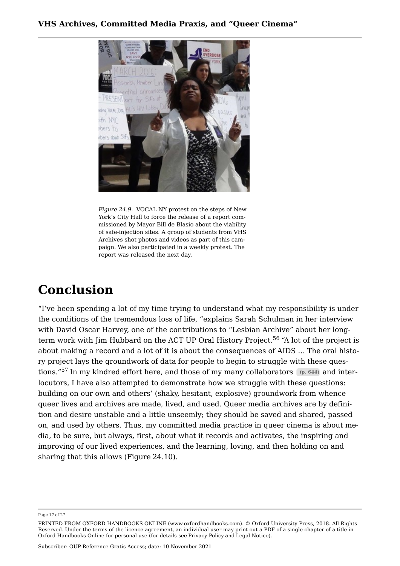<span id="page-17-0"></span>

*Figure 24.9.* VOCAL NY protest on the steps of New York's City Hall to force the release of a report commissioned by Mayor Bill de Blasio about the viability of safe-injection sites. A group of students from VHS Archives shot photos and videos as part of this campaign. We also participated in a weekly protest. The report was released the next day.

## **Conclusion**

<span id="page-17-2"></span><span id="page-17-1"></span>"I've been spending a lot of my time trying to understand what my responsibility is under the conditions of the tremendous loss of life, "explains Sarah Schulman in her interview with David Oscar Harvey, one of the contributions to "Lesbian Archive" about her long-term work with Jim Hubbard on the ACT UP Oral History Project.<sup>[56](#page-26-8)</sup> "A lot of the project is about making a record and a lot of it is about the consequences of AIDS … The oral history project lays the groundwork of data for people to begin to struggle with these questions."[57](#page-26-9) In my kindred effort here, and those of my many collaborators **(p. 644)** and interlocutors, I have also attempted to demonstrate how we struggle with these questions: building on our own and others' (shaky, hesitant, explosive) groundwork from whence queer lives and archives are made, lived, and used. Queer media archives are by definition and desire unstable and a little unseemly; they should be saved and shared, passed on, and used by others. Thus, my committed media practice in queer cinema is about media, to be sure, but always, first, about what it records and activates, the inspiring and improving of our lived experiences, and the learning, loving, and then holding on and sharing that this allows (Figure [24.10](#page-18-4)).

Page 17 of 27

PRINTED FROM OXFORD HANDBOOKS ONLINE (www.oxfordhandbooks.com). © Oxford University Press, 2018. All Rights Reserved. Under the terms of the licence agreement, an individual user may print out a PDF of a single chapter of a title in Oxford Handbooks Online for personal use (for details see [Privacy Policy](https://global.oup.com/privacy) and [Legal Notice\)](https://www.oxfordhandbooks.com/page/legal-notice).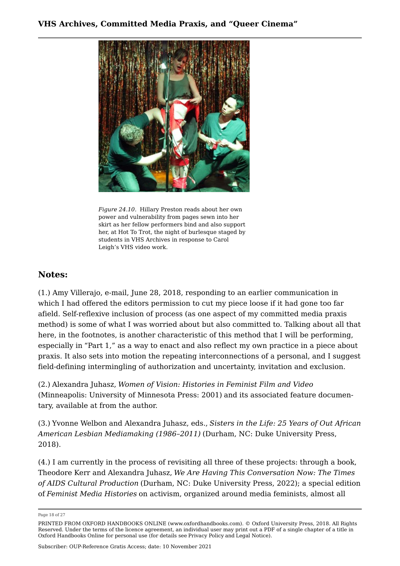<span id="page-18-4"></span>

*Figure 24.10.* Hillary Preston reads about her own power and vulnerability from pages sewn into her skirt as her fellow performers bind and also support her, at Hot To Trot, the night of burlesque staged by students in VHS Archives in response to Carol Leigh's VHS video work.

### **Notes:**

<span id="page-18-0"></span>([1.\)](#page-1-0) Amy Villerajo, e-mail, June 28, 2018, responding to an earlier communication in which I had offered the editors permission to cut my piece loose if it had gone too far afield. Self-reflexive inclusion of process (as one aspect of my committed media praxis method) is some of what I was worried about but also committed to. Talking about all that here, in the footnotes, is another characteristic of this method that I will be performing, especially in "Part 1," as a way to enact and also reflect my own practice in a piece about praxis. It also sets into motion the repeating interconnections of a personal, and I suggest field-defining intermingling of authorization and uncertainty, invitation and exclusion.

<span id="page-18-1"></span>([2.\)](#page-2-1) Alexandra Juhasz, *Women of Vision: Histories in Feminist Film and Video* (Minneapolis: University of Minnesota Press: 2001) and its associated feature documentary, available at from the author.

<span id="page-18-2"></span>([3.\)](#page-3-0) Yvonne Welbon and Alexandra Juhasz, eds., *Sisters in the Life: 25 Years of Out African American Lesbian Mediamaking (1986–2011)* (Durham, NC: Duke University Press, 2018).

<span id="page-18-3"></span>([4.\)](#page-3-1) I am currently in the process of revisiting all three of these projects: through a book, Theodore Kerr and Alexandra Juhasz, *We Are Having This Conversation Now: The Times of AIDS Cultural Production* (Durham, NC: Duke University Press, 2022); a special edition of *Feminist Media Histories* on activism, organized around media feminists, almost all

Page 18 of 27

PRINTED FROM OXFORD HANDBOOKS ONLINE (www.oxfordhandbooks.com). © Oxford University Press, 2018. All Rights Reserved. Under the terms of the licence agreement, an individual user may print out a PDF of a single chapter of a title in Oxford Handbooks Online for personal use (for details see [Privacy Policy](https://global.oup.com/privacy) and [Legal Notice\)](https://www.oxfordhandbooks.com/page/legal-notice).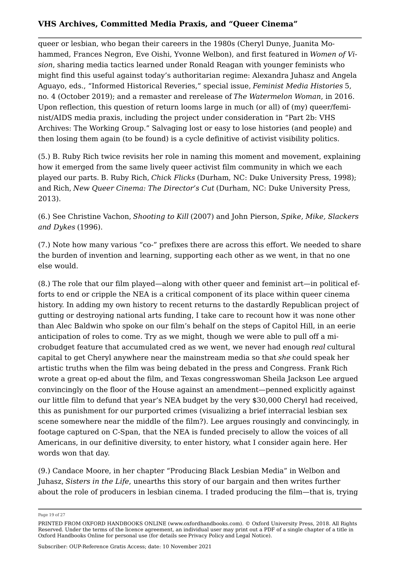queer or lesbian, who began their careers in the 1980s (Cheryl Dunye, Juanita Mohammed, Frances Negron, Eve Oishi, Yvonne Welbon), and first featured in *Women of Vision*, sharing media tactics learned under Ronald Reagan with younger feminists who might find this useful against today's authoritarian regime: Alexandra Juhasz and Angela Aguayo, eds., "Informed Historical Reveries," special issue, *Feminist Media Histories* 5, no. 4 (October 2019); and a remaster and rerelease of *The Watermelon Woman*, in 2016. Upon reflection, this question of return looms large in much (or all) of (my) queer/feminist/AIDS media praxis, including the project under consideration in "Part 2b: VHS Archives: The Working Group." Salvaging lost or easy to lose histories (and people) and then losing them again (to be found) is a cycle definitive of activist visibility politics.

<span id="page-19-0"></span>([5.\)](#page-3-2) B. Ruby Rich twice revisits her role in naming this moment and movement, explaining how it emerged from the same lively queer activist film community in which we each played our parts. B. Ruby Rich, *Chick Flicks* (Durham, NC: Duke University Press, 1998); and Rich, *New Queer Cinema: The Director's Cut* (Durham, NC: Duke University Press, 2013).

<span id="page-19-1"></span>([6.\)](#page-3-3) See Christine Vachon, *Shooting to Kill* (2007) and John Pierson, *Spike, Mike, Slackers and Dykes* (1996).

<span id="page-19-2"></span>([7.](#page-3-4)) Note how many various "co-" prefixes there are across this effort. We needed to share the burden of invention and learning, supporting each other as we went, in that no one else would.

<span id="page-19-3"></span>([8.](#page-3-5)) The role that our film played—along with other queer and feminist art—in political efforts to end or cripple the NEA is a critical component of its place within queer cinema history. In adding my own history to recent returns to the dastardly Republican project of gutting or destroying national arts funding, I take care to recount how it was none other than Alec Baldwin who spoke on our film's behalf on the steps of Capitol Hill, in an eerie anticipation of roles to come. Try as we might, though we were able to pull off a microbudget feature that accumulated cred as we went, we never had enough *real* cultural capital to get Cheryl anywhere near the mainstream media so that *she* could speak her artistic truths when the film was being debated in the press and Congress. Frank Rich wrote a great op-ed about the film, and Texas congresswoman Sheila Jackson Lee argued convincingly on the floor of the House against an amendment—penned explicitly against our little film to defund that year's NEA budget by the very \$30,000 Cheryl had received, this as punishment for our purported crimes (visualizing a brief interracial lesbian sex scene somewhere near the middle of the film?). Lee argues rousingly and convincingly, in footage captured on C-Span, that the NEA is funded precisely to allow the voices of all Americans, in our definitive diversity, to enter history, what I consider again here. Her words won that day.

<span id="page-19-4"></span>([9.](#page-3-6)) Candace Moore, in her chapter "Producing Black Lesbian Media" in [Welbon and](https://www.oxfordhandbooks.com/view/10.1093/oxfordhb/9780190877996.001.0001/oxfordhb-9780190877996-bibliography-6#oxfordhb-9780190877996-bibliography-6-bibItem-1023) [Juhasz,](https://www.oxfordhandbooks.com/view/10.1093/oxfordhb/9780190877996.001.0001/oxfordhb-9780190877996-bibliography-6#oxfordhb-9780190877996-bibliography-6-bibItem-1023) *[Sisters in the Life](https://www.oxfordhandbooks.com/view/10.1093/oxfordhb/9780190877996.001.0001/oxfordhb-9780190877996-bibliography-6#oxfordhb-9780190877996-bibliography-6-bibItem-1023)*, unearths this story of our bargain and then writes further about the role of producers in lesbian cinema. I traded producing the film—that is, trying

Page 19 of 27

PRINTED FROM OXFORD HANDBOOKS ONLINE (www.oxfordhandbooks.com). © Oxford University Press, 2018. All Rights Reserved. Under the terms of the licence agreement, an individual user may print out a PDF of a single chapter of a title in Oxford Handbooks Online for personal use (for details see [Privacy Policy](https://global.oup.com/privacy) and [Legal Notice\)](https://www.oxfordhandbooks.com/page/legal-notice).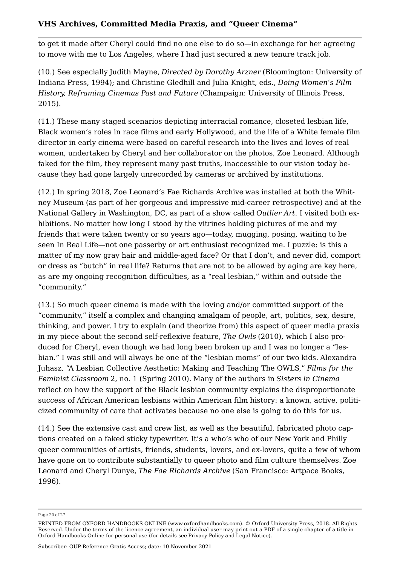to get it made after Cheryl could find no one else to do so—in exchange for her agreeing to move with me to Los Angeles, where I had just secured a new tenure track job.

<span id="page-20-0"></span>([10.](#page-3-7)) See especially Judith Mayne, *Directed by Dorothy Arzner* (Bloomington: University of Indiana Press, 1994); and Christine Gledhill and Julia Knight, eds., *Doing Women's Film History, Reframing Cinemas Past and Future* (Champaign: University of Illinois Press, 2015).

<span id="page-20-1"></span>([11.](#page-3-8)) These many staged scenarios depicting interracial romance, closeted lesbian life, Black women's roles in race films and early Hollywood, and the life of a White female film director in early cinema were based on careful research into the lives and loves of real women, undertaken by Cheryl and her collaborator on the photos, Zoe Leonard. Although faked for the film, they represent many past truths, inaccessible to our vision today because they had gone largely unrecorded by cameras or archived by institutions.

<span id="page-20-2"></span>([12.](#page-4-0)) In spring 2018, [Zoe Leonard's Fae Richards Archive](https://www.oxfordhandbooks.com/view/10.1093/oxfordhb/9780190877996.001.0001/oxfordhb-9780190877996-e-22#oxfordhb-9780190877996-e-22-bibItem-703) was installed at both the Whitney Museum (as part of her gorgeous and impressive mid-career retrospective) and at the National Gallery in Washington, DC, as part of a show called *Outlier Art*. I visited both exhibitions. No matter how long I stood by the vitrines holding pictures of me and my friends that were taken twenty or so years ago—today, mugging, posing, waiting to be seen In Real Life—not one passerby or art enthusiast recognized me. I puzzle: is this a matter of my now gray hair and middle-aged face? Or that I don't, and never did, comport or dress as "butch" in real life? Returns that are not to be allowed by aging are key here, as are my ongoing recognition difficulties, as a "real lesbian," within and outside the "community."

<span id="page-20-3"></span>([13.](#page-4-1)) So much queer cinema is made with the loving and/or committed support of the "community," itself a complex and changing amalgam of people, art, politics, sex, desire, thinking, and power. I try to explain (and theorize from) this aspect of queer media praxis in my piece about the second self-reflexive feature, *The Owls* (2010), which I also produced for Cheryl, even though we had long been broken up and I was no longer a "lesbian." I was still and will always be one of the "lesbian moms" of our two kids. Alexandra Juhasz, "A Lesbian Collective Aesthetic: Making and Teaching The OWLS," *Films for the Feminist Classroom* 2, no. 1 (Spring 2010). Many of the authors in *Sisters in Cinema* reflect on how the support of the Black lesbian community explains the disproportionate success of African American lesbians within American film history: a known, active, politicized community of care that activates because no one else is going to do this for us.

<span id="page-20-4"></span>([14.](#page-4-2)) See the extensive cast and crew list, as well as the beautiful, fabricated photo captions created on a faked sticky typewriter. It's a who's who of our New York and Philly queer communities of artists, friends, students, lovers, and ex-lovers, quite a few of whom have gone on to contribute substantially to queer photo and film culture themselves. Zoe Leonard and Cheryl Dunye, *The Fae Richards Archive* (San Francisco: Artpace Books, 1996).

Page 20 of 27

PRINTED FROM OXFORD HANDBOOKS ONLINE (www.oxfordhandbooks.com). © Oxford University Press, 2018. All Rights Reserved. Under the terms of the licence agreement, an individual user may print out a PDF of a single chapter of a title in Oxford Handbooks Online for personal use (for details see [Privacy Policy](https://global.oup.com/privacy) and [Legal Notice\)](https://www.oxfordhandbooks.com/page/legal-notice).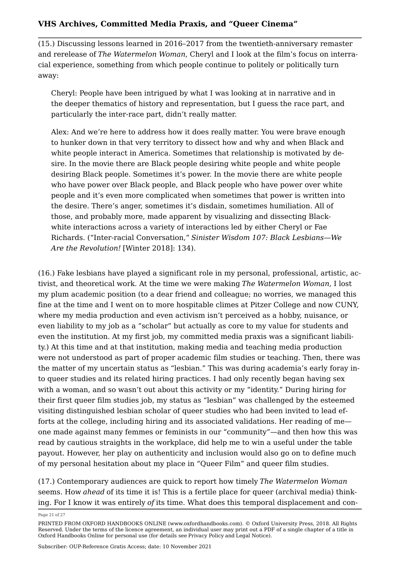<span id="page-21-0"></span>([15.](#page-4-3)) Discussing lessons learned in 2016–2017 from the twentieth-anniversary remaster and rerelease of *The Watermelon Woman*, Cheryl and I look at the film's focus on interracial experience, something from which people continue to politely or politically turn away:

Cheryl: People have been intrigued by what I was looking at in narrative and in the deeper thematics of history and representation, but I guess the race part, and particularly the inter-race part, didn't really matter.

Alex: And we're here to address how it does really matter. You were brave enough to hunker down in that very territory to dissect how and why and when Black and white people interact in America. Sometimes that relationship is motivated by desire. In the movie there are Black people desiring white people and white people desiring Black people. Sometimes it's power. In the movie there are white people who have power over Black people, and Black people who have power over white people and it's even more complicated when sometimes that power is written into the desire. There's anger, sometimes it's disdain, sometimes humiliation. All of those, and probably more, made apparent by visualizing and dissecting Blackwhite interactions across a variety of interactions led by either Cheryl or Fae Richards. ("Inter-racial Conversation," *Sinister Wisdom 107: Black Lesbians—We Are the Revolution!* [Winter 2018]: 134).

<span id="page-21-1"></span>([16.](#page-4-4)) Fake lesbians have played a significant role in my personal, professional, artistic, activist, and theoretical work. At the time we were making *The Watermelon Woman*, I lost my plum academic position (to a dear friend and colleague; no worries, we managed this fine at the time and I went on to more hospitable climes at Pitzer College and now CUNY, where my media production and even activism isn't perceived as a hobby, nuisance, or even liability to my job as a "scholar" but actually as core to my value for students and even the institution. At my first job, my committed media praxis was a significant liability.) At this time and at that institution, making media and teaching media production were not understood as part of proper academic film studies or teaching. Then, there was the matter of my uncertain status as "lesbian." This was during academia's early foray into queer studies and its related hiring practices. I had only recently began having sex with a woman, and so wasn't out about this activity or my "identity." During hiring for their first queer film studies job, my status as "lesbian" was challenged by the esteemed visiting distinguished lesbian scholar of queer studies who had been invited to lead efforts at the college, including hiring and its associated validations. Her reading of me one made against many femmes or feminists in our "community"—and then how this was read by cautious straights in the workplace, did help me to win a useful under the table payout. However, her play on authenticity and inclusion would also go on to define much of my personal hesitation about my place in "Queer Film" and queer film studies.

<span id="page-21-2"></span>([17.](#page-4-5)) Contemporary audiences are quick to report how timely *The Watermelon Woman* seems. How *ahead* of its time it is! This is a fertile place for queer (archival media) thinking. For I know it was entirely *of* its time. What does this temporal displacement and con-

Page 21 of 27

PRINTED FROM OXFORD HANDBOOKS ONLINE (www.oxfordhandbooks.com). © Oxford University Press, 2018. All Rights Reserved. Under the terms of the licence agreement, an individual user may print out a PDF of a single chapter of a title in Oxford Handbooks Online for personal use (for details see [Privacy Policy](https://global.oup.com/privacy) and [Legal Notice\)](https://www.oxfordhandbooks.com/page/legal-notice).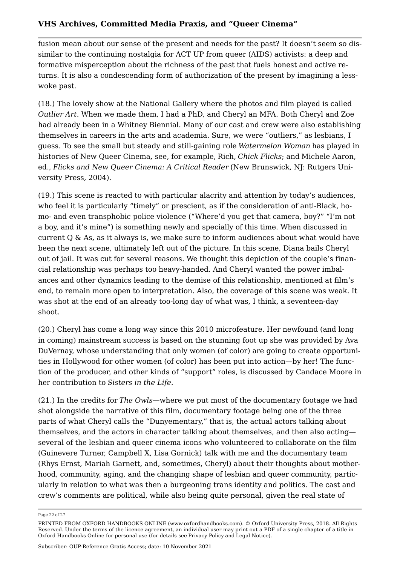fusion mean about our sense of the present and needs for the past? It doesn't seem so dissimilar to the continuing nostalgia for ACT UP from queer (AIDS) activists: a deep and formative misperception about the richness of the past that fuels honest and active returns. It is also a condescending form of authorization of the present by imagining a lesswoke past.

<span id="page-22-0"></span>([18.](#page-4-6)) The lovely show at the National Gallery where the photos and film played is called *Outlier Art*. When we made them, I had a PhD, and Cheryl an MFA. Both Cheryl and Zoe had already been in a Whitney Biennial. Many of our cast and crew were also establishing themselves in careers in the arts and academia. Sure, we were "outliers," as lesbians, I guess. To see the small but steady and still-gaining role *Watermelon Woman* has played in histories of New Queer Cinema, see, for example, [Rich,](https://www.oxfordhandbooks.com/view/10.1093/oxfordhb/9780190877996.001.0001/oxfordhb-9780190877996-e-1#oxfordhb-9780190877996-e-1-bibItem-12) *[Chick Flicks](https://www.oxfordhandbooks.com/view/10.1093/oxfordhb/9780190877996.001.0001/oxfordhb-9780190877996-e-1#oxfordhb-9780190877996-e-1-bibItem-12)*; and Michele Aaron, ed., *Flicks and New Queer Cinema: A Critical Reader* (New Brunswick, NJ: Rutgers University Press, 2004).

<span id="page-22-1"></span>([19.](#page-4-7)) This scene is reacted to with particular alacrity and attention by today's audiences, who feel it is particularly "timely" or prescient, as if the consideration of anti-Black, homo- and even transphobic police violence ("Where'd you get that camera, boy?" "I'm not a boy, and it's mine") is something newly and specially of this time. When discussed in current  $Q \&$  As, as it always is, we make sure to inform audiences about what would have been the next scene, ultimately left out of the picture. In this scene, Diana bails Cheryl out of jail. It was cut for several reasons. We thought this depiction of the couple's financial relationship was perhaps too heavy-handed. And Cheryl wanted the power imbalances and other dynamics leading to the demise of this relationship, mentioned at film's end, to remain more open to interpretation. Also, the coverage of this scene was weak. It was shot at the end of an already too-long day of what was, I think, a seventeen-day shoot.

<span id="page-22-2"></span>([20.](#page-4-8)) Cheryl has come a long way since this 2010 microfeature. Her newfound (and long in coming) mainstream success is based on the stunning foot up she was provided by Ava DuVernay, whose understanding that only women (of color) are going to create opportunities in Hollywood for other women (of color) has been put into action—by her! The function of the producer, and other kinds of "support" roles, is discussed by Candace Moore in her contribution to *Sisters in the Life*.

<span id="page-22-3"></span>([21.](#page-4-9)) In the credits for *The Owls*—where we put most of the documentary footage we had shot alongside the narrative of this film, documentary footage being one of the three parts of what Cheryl calls the "Dunyementary," that is, the actual actors talking about themselves, and the actors in character talking about themselves, and then also acting several of the lesbian and queer cinema icons who volunteered to collaborate on the film (Guinevere Turner, Campbell X, Lisa Gornick) talk with me and the documentary team (Rhys Ernst, Mariah Garnett, and, sometimes, Cheryl) about their thoughts about motherhood, community, aging, and the changing shape of lesbian and queer community, particularly in relation to what was then a burgeoning trans identity and politics. The cast and crew's comments are political, while also being quite personal, given the real state of

Page 22 of 27

PRINTED FROM OXFORD HANDBOOKS ONLINE (www.oxfordhandbooks.com). © Oxford University Press, 2018. All Rights Reserved. Under the terms of the licence agreement, an individual user may print out a PDF of a single chapter of a title in Oxford Handbooks Online for personal use (for details see [Privacy Policy](https://global.oup.com/privacy) and [Legal Notice\)](https://www.oxfordhandbooks.com/page/legal-notice).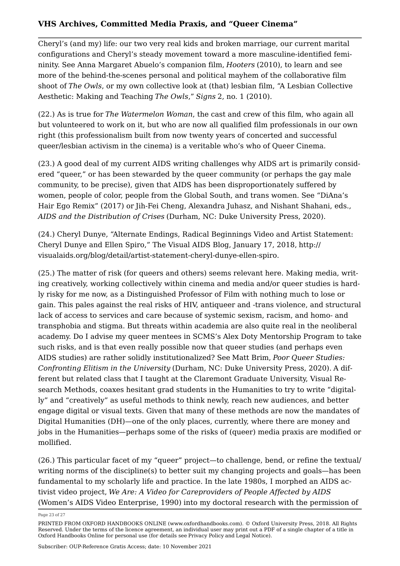Cheryl's (and my) life: our two very real kids and broken marriage, our current marital configurations and Cheryl's steady movement toward a more masculine-identified femininity. See Anna Margaret Abuelo's companion film, *Hooters* (2010), to learn and see more of the behind-the-scenes personal and political mayhem of the collaborative film shoot of *The Owls*, or my own collective look at (that) lesbian film, "A Lesbian Collective Aesthetic: Making and Teaching *The Owls*," *Signs* 2, no. 1 (2010).

<span id="page-23-0"></span>([22.](#page-4-10)) As is true for *The Watermelon Woman*, the cast and crew of this film, who again all but volunteered to work on it, but who are now all qualified film professionals in our own right (this professionalism built from now twenty years of concerted and successful queer/lesbian activism in the cinema) is a veritable who's who of Queer Cinema.

<span id="page-23-1"></span>([23.](#page-5-1)) A good deal of my current AIDS writing challenges why AIDS art is primarily considered "queer," or has been stewarded by the queer community (or perhaps the gay male community, to be precise), given that AIDS has been disproportionately suffered by women, people of color, people from the Global South, and trans women. See "DiAna's Hair Ego Remix" (2017) or Jih-Fei Cheng, Alexandra Juhasz, and Nishant Shahani, eds., *AIDS and the Distribution of Crises* (Durham, NC: Duke University Press, 2020).

<span id="page-23-2"></span>([24.](#page-5-2)) Cheryl Dunye, "Alternate Endings, Radical Beginnings Video and Artist Statement: Cheryl Dunye and Ellen Spiro," The Visual AIDS Blog, January 17, 2018, [http://](http://visualaids.org/blog/detail/artist-statement-cheryl-dunye-ellen-spiro) [visualaids.org/blog/detail/artist-statement-cheryl-dunye-ellen-spiro](http://visualaids.org/blog/detail/artist-statement-cheryl-dunye-ellen-spiro).

<span id="page-23-3"></span>([25.](#page-6-1)) The matter of risk (for queers and others) seems relevant here. Making media, writing creatively, working collectively within cinema and media and/or queer studies is hardly risky for me now, as a Distinguished Professor of Film with nothing much to lose or gain. This pales against the real risks of HIV, antiqueer and -trans violence, and structural lack of access to services and care because of systemic sexism, racism, and homo- and transphobia and stigma. But threats within academia are also quite real in the neoliberal academy. Do I advise my queer mentees in SCMS's Alex Doty Mentorship Program to take such risks, and is that even really possible now that queer studies (and perhaps even AIDS studies) are rather solidly institutionalized? See Matt Brim, *Poor Queer Studies: Confronting Elitism in the University* (Durham, NC: Duke University Press, 2020). A different but related class that I taught at the Claremont Graduate University, Visual Research Methods, coaxes hesitant grad students in the Humanities to try to write "digitally" and "creatively" as useful methods to think newly, reach new audiences, and better engage digital or visual texts. Given that many of these methods are now the mandates of Digital Humanities (DH)—one of the only places, currently, where there are money and jobs in the Humanities—perhaps some of the risks of (queer) media praxis are modified or mollified.

<span id="page-23-4"></span>([26.](#page-6-2)) This particular facet of my "queer" project—to challenge, bend, or refine the textual/ writing norms of the discipline(s) to better suit my changing projects and goals—has been fundamental to my scholarly life and practice. In the late 1980s, I morphed an AIDS activist video project, *We Are: A Video for Careproviders of People Affected by AIDS* (Women's AIDS Video Enterprise, 1990) into my doctoral research with the permission of

Page 23 of 27

PRINTED FROM OXFORD HANDBOOKS ONLINE (www.oxfordhandbooks.com). © Oxford University Press, 2018. All Rights Reserved. Under the terms of the licence agreement, an individual user may print out a PDF of a single chapter of a title in Oxford Handbooks Online for personal use (for details see [Privacy Policy](https://global.oup.com/privacy) and [Legal Notice\)](https://www.oxfordhandbooks.com/page/legal-notice).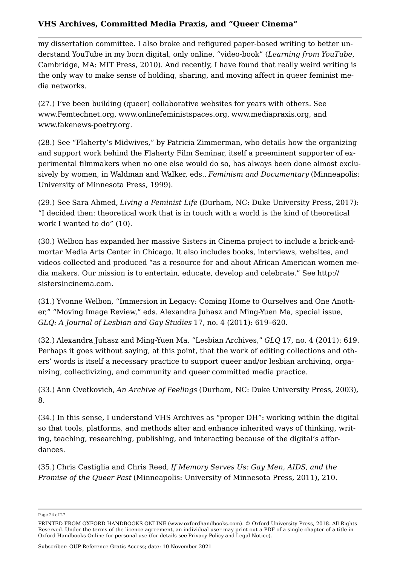my dissertation committee. I also broke and refigured paper-based writing to better understand YouTube in my born digital, only online, "video-book" (*Learning from YouTube*, Cambridge, MA: MIT Press, 2010). And recently, I have found that really weird writing is the only way to make sense of holding, sharing, and moving affect in queer feminist media networks.

<span id="page-24-0"></span>([27.](#page-6-3)) I've been building (queer) collaborative websites for years with others. See [www.Femtechnet.org](http://www.Femtechnet.org), [www.onlinefeministspaces.org](http://www.onlinefeministspaces.org), [www.mediapraxis.org,](http://www.mediapraxis.org) and [www.fakenews-poetry.org.](http://www.fakenews-poetry.org)

<span id="page-24-1"></span>([28.](#page-6-4)) See "Flaherty's Midwives," by Patricia Zimmerman, who details how the organizing and support work behind the Flaherty Film Seminar, itself a preeminent supporter of experimental filmmakers when no one else would do so, has always been done almost exclusively by women, in Waldman and Walker, eds., *Feminism and Documentary* (Minneapolis: University of Minnesota Press, 1999).

<span id="page-24-2"></span>([29.](#page-7-1)) See Sara Ahmed, *Living a Feminist Life* (Durham, NC: Duke University Press, 2017): "I decided then: theoretical work that is in touch with a world is the kind of theoretical work I wanted to do" (10).

<span id="page-24-3"></span>([30.](#page-7-2)) Welbon has expanded her massive Sisters in Cinema project to include a brick-andmortar Media Arts Center in Chicago. It also includes books, interviews, websites, and videos collected and produced "as a resource for and about African American women media makers. Our mission is to entertain, educate, develop and celebrate." See [http://](http://sistersincinema.com) [sistersincinema.com.](http://sistersincinema.com)

<span id="page-24-4"></span>([31.](#page-7-3)) Yvonne Welbon, "Immersion in Legacy: Coming Home to Ourselves and One Another," "Moving Image Review," eds. Alexandra Juhasz and Ming-Yuen Ma, special issue, *GLQ: A Journal of Lesbian and Gay Studies* 17, no. 4 (2011): 619–620.

<span id="page-24-5"></span>([32.](#page-8-0)) Alexandra Juhasz and Ming-Yuen Ma, "Lesbian Archives," *GLQ* 17, no. 4 (2011): 619. Perhaps it goes without saying, at this point, that the work of editing collections and others' words is itself a necessary practice to support queer and/or lesbian archiving, organizing, collectivizing, and community and queer committed media practice.

<span id="page-24-6"></span>([33.](#page-8-1)) Ann Cvetkovich, *An Archive of Feelings* (Durham, NC: Duke University Press, 2003), 8.

<span id="page-24-7"></span>([34.](#page-8-2)) In this sense, I understand VHS Archives as "proper DH": working within the digital so that tools, platforms, and methods alter and enhance inherited ways of thinking, writing, teaching, researching, publishing, and interacting because of the digital's affordances.

<span id="page-24-8"></span>([35.](#page-8-3)) Chris Castiglia and Chris Reed, *If Memory Serves Us: Gay Men, AIDS, and the Promise of the Queer Past* (Minneapolis: University of Minnesota Press, 2011), 210.

Page 24 of 27

PRINTED FROM OXFORD HANDBOOKS ONLINE (www.oxfordhandbooks.com). © Oxford University Press, 2018. All Rights Reserved. Under the terms of the licence agreement, an individual user may print out a PDF of a single chapter of a title in Oxford Handbooks Online for personal use (for details see [Privacy Policy](https://global.oup.com/privacy) and [Legal Notice\)](https://www.oxfordhandbooks.com/page/legal-notice).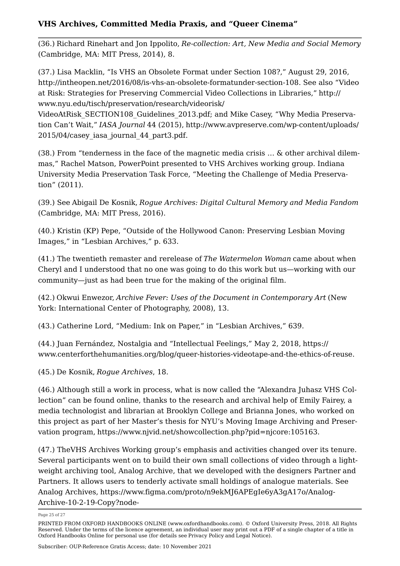<span id="page-25-0"></span>([36.](#page-9-1)) Richard Rinehart and Jon Ippolito, *Re-collection: Art, New Media and Social Memory* (Cambridge, MA: MIT Press, 2014), 8.

<span id="page-25-1"></span>([37.](#page-10-1)) Lisa Macklin, "Is VHS an Obsolete Format under Section 108?," August 29, 2016, <http://intheopen.net/2016/08/is-vhs-an-obsolete-formatunder-section-108>. See also "Video at Risk: Strategies for Preserving Commercial Video Collections in Libraries," [http://](http://www.nyu.edu/tisch/preservation/research/videorisk/VideoAtRisk_SECTION108_Guidelines_2013.pdf) [www.nyu.edu/tisch/preservation/research/videorisk/](http://www.nyu.edu/tisch/preservation/research/videorisk/VideoAtRisk_SECTION108_Guidelines_2013.pdf)

[VideoAtRisk\\_SECTION108\\_Guidelines\\_2013.pdf](http://www.nyu.edu/tisch/preservation/research/videorisk/VideoAtRisk_SECTION108_Guidelines_2013.pdf); and Mike Casey, "Why Media Preservation Can't Wait," *IASA Journal* 44 (2015), [http://www.avpreserve.com/wp-content/uploads/](http://www.avpreserve.com/wp-content/uploads/2015/04/casey_iasa_journal_44_part3.pdf) [2015/04/casey\\_iasa\\_journal\\_44\\_part3.pdf](http://www.avpreserve.com/wp-content/uploads/2015/04/casey_iasa_journal_44_part3.pdf).

<span id="page-25-2"></span>([38.](#page-10-2)) From "tenderness in the face of the magnetic media crisis … & other archival dilemmas," Rachel Matson, PowerPoint presented to VHS Archives working group. Indiana University Media Preservation Task Force, "Meeting the Challenge of Media Preservation" (2011).

<span id="page-25-3"></span>([39.](#page-10-3)) See Abigail De Kosnik, *Rogue Archives: Digital Cultural Memory and Media Fandom* (Cambridge, MA: MIT Press, 2016).

<span id="page-25-4"></span>([40.](#page-11-0)) Kristin (KP) Pepe, "Outside of the Hollywood Canon: Preserving Lesbian Moving Images," in "Lesbian Archives," p. 633.

<span id="page-25-5"></span>([41.](#page-11-1)) The twentieth remaster and rerelease of *The Watermelon Woman* came about when Cheryl and I understood that no one was going to do this work but us—working with our community—just as had been true for the making of the original film.

<span id="page-25-6"></span>([42.](#page-11-2)) Okwui Enwezor, *Archive Fever: Uses of the Document in Contemporary Art* (New York: International Center of Photography, 2008), 13.

<span id="page-25-7"></span>([43.](#page-11-3)) Catherine Lord, "Medium: Ink on Paper," in "Lesbian Archives," 639.

<span id="page-25-8"></span>([44.](#page-12-0)) Juan Fernández, Nostalgia and "Intellectual Feelings," May 2, 2018, [https://](https://www.centerforthehumanities.org/blog/queer-histories-videotape-and-the-ethics-of-reuse) [www.centerforthehumanities.org/blog/queer-histories-videotape-and-the-ethics-of-reuse.](https://www.centerforthehumanities.org/blog/queer-histories-videotape-and-the-ethics-of-reuse)

<span id="page-25-9"></span>([45.](#page-12-1)) [De Kosnik,](https://www.oxfordhandbooks.com/view/10.1093/oxfordhb/9780190877996.001.0001/oxfordhb-9780190877996-e-22#oxfordhb-9780190877996-e-22-bibItem-713) *[Rogue Archives](https://www.oxfordhandbooks.com/view/10.1093/oxfordhb/9780190877996.001.0001/oxfordhb-9780190877996-e-22#oxfordhb-9780190877996-e-22-bibItem-713)*, 18.

<span id="page-25-10"></span>([46.](#page-13-1)) Although still a work in process, what is now called the "Alexandra Juhasz VHS Collection" can be found online, thanks to the research and archival help of Emily Fairey, a media technologist and librarian at Brooklyn College and Brianna Jones, who worked on this project as part of her Master's thesis for NYU's Moving Image Archiving and Preservation program, [https://www.njvid.net/showcollection.php?pid=njcore:105163.](https://www.njvid.net/showcollection.php?pid=njcore:105163)

<span id="page-25-11"></span>([47.](#page-13-2)) TheVHS Archives Working group's emphasis and activities changed over its tenure. Several participants went on to build their own small collections of video through a lightweight archiving tool, Analog Archive, that we developed with the designers Partner and Partners. It allows users to tenderly activate small holdings of analogue materials. See Analog Archives, [https://www.figma.com/proto/n9ekMJ6APEgIe6yA3gA17o/Analog-](https://www.figma.com/proto/n9ekMJ6APEgIe6yA3gA17o/Analog-Archive-10-2-19-Copy?node-id=2%3A3&viewport=504%2C437%2C0.6023789048194885&scaling=scale-down-width)[Archive-10-2-19-Copy?node-](https://www.figma.com/proto/n9ekMJ6APEgIe6yA3gA17o/Analog-Archive-10-2-19-Copy?node-id=2%3A3&viewport=504%2C437%2C0.6023789048194885&scaling=scale-down-width)

Page 25 of 27

PRINTED FROM OXFORD HANDBOOKS ONLINE (www.oxfordhandbooks.com). © Oxford University Press, 2018. All Rights Reserved. Under the terms of the licence agreement, an individual user may print out a PDF of a single chapter of a title in Oxford Handbooks Online for personal use (for details see [Privacy Policy](https://global.oup.com/privacy) and [Legal Notice\)](https://www.oxfordhandbooks.com/page/legal-notice).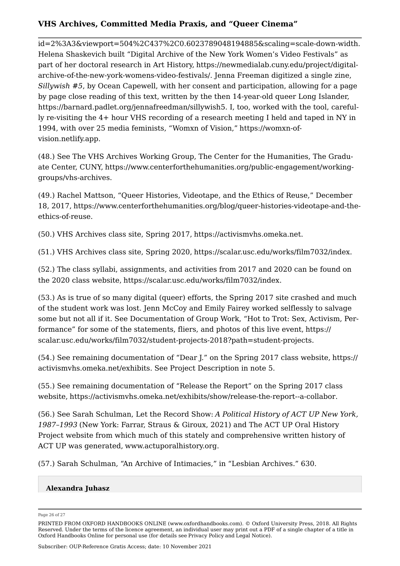[id=2%3A3&viewport=504%2C437%2C0.6023789048194885&scaling=scale-down-width](https://www.figma.com/proto/n9ekMJ6APEgIe6yA3gA17o/Analog-Archive-10-2-19-Copy?node-id=2%3A3&viewport=504%2C437%2C0.6023789048194885&scaling=scale-down-width). Helena Shaskevich built "Digital Archive of the New York Women's Video Festivals" as part of her doctoral research in Art History, [https://newmedialab.cuny.edu/project/digital](https://newmedialab.cuny.edu/project/digital-archive-of-the-new-york-womens-video-festivals/)[archive-of-the-new-york-womens-video-festivals/.](https://newmedialab.cuny.edu/project/digital-archive-of-the-new-york-womens-video-festivals/) Jenna Freeman digitized a single zine, *Sillywish #5*, by Ocean Capewell, with her consent and participation, allowing for a page by page close reading of this text, written by the then 14-year-old queer Long Islander, <https://barnard.padlet.org/jennafreedman/sillywish5>. I, too, worked with the tool, carefully re-visiting the 4+ hour VHS recording of a research meeting I held and taped in NY in 1994, with over 25 media feminists, "Womxn of Vision," [https://womxn-of](https://womxn-of-vision.netlify.app)[vision.netlify.app](https://womxn-of-vision.netlify.app).

<span id="page-26-0"></span>([48.](#page-13-3)) See The VHS Archives Working Group, The Center for the Humanities, The Graduate Center, CUNY, [https://www.centerforthehumanities.org/public-engagement/working](https://www.centerforthehumanities.org/public-engagement/working-groups/vhs-archives)[groups/vhs-archives.](https://www.centerforthehumanities.org/public-engagement/working-groups/vhs-archives)

<span id="page-26-1"></span>([49.](#page-14-0)) Rachel Mattson, "Queer Histories, Videotape, and the Ethics of Reuse," December 18, 2017, [https://www.centerforthehumanities.org/blog/queer-histories-videotape-and-the](https://www.centerforthehumanities.org/blog/queer-histories-videotape-and-the-ethics-of-reuse)[ethics-of-reuse.](https://www.centerforthehumanities.org/blog/queer-histories-videotape-and-the-ethics-of-reuse)

<span id="page-26-2"></span>([50.](#page-14-1)) VHS Archives class site, Spring 2017, <https://activismvhs.omeka.net>.

<span id="page-26-3"></span>([51.](#page-14-2)) VHS Archives class site, Spring 2020, [https://scalar.usc.edu/works/film7032/index.](https://scalar.usc.edu/works/film7032/index)

<span id="page-26-4"></span>([52.](#page-15-1)) The class syllabi, assignments, and activities from 2017 and 2020 can be found on the 2020 class website, <https://scalar.usc.edu/works/film7032/index>.

<span id="page-26-5"></span>([53.](#page-15-2)) As is true of so many digital (queer) efforts, the Spring 2017 site crashed and much of the student work was lost. Jenn McCoy and Emily Fairey worked selflessly to salvage some but not all if it. See Documentation of Group Work, "Hot to Trot: Sex, Activism, Performance" for some of the statements, fliers, and photos of this live event, [https://](https://scalar.usc.edu/works/film7032/student-projects-2018?path=student-projects) [scalar.usc.edu/works/film7032/student-projects-2018?path=student-projects](https://scalar.usc.edu/works/film7032/student-projects-2018?path=student-projects).

<span id="page-26-6"></span>([54.](#page-16-0)) See remaining documentation of "Dear J." on the Spring 2017 class website, [https://](https://activismvhs.omeka.net/exhibits) [activismvhs.omeka.net/exhibits](https://activismvhs.omeka.net/exhibits). See Project Description in note 5.

<span id="page-26-7"></span>([55.](#page-16-1)) See remaining documentation of "Release the Report" on the Spring 2017 class website, <https://activismvhs.omeka.net/exhibits/show/release-the-report--a-collabor>.

<span id="page-26-8"></span>([56.](#page-17-1)) See Sarah Schulman, Let the Record Show: *A Political History of ACT UP New York, 1987–1993* (New York: Farrar, Straus & Giroux, 2021) and The ACT UP Oral History Project website from which much of this stately and comprehensive written history of ACT UP was generated, [www.actuporalhistory.org.](http://www.actuporalhistory.org)

<span id="page-26-9"></span>([57.](#page-17-2)) Sarah Schulman, "An Archive of Intimacies," in "Lesbian Archives." 630.

### **Alexandra Juhasz**

Page 26 of 27

PRINTED FROM OXFORD HANDBOOKS ONLINE (www.oxfordhandbooks.com). © Oxford University Press, 2018. All Rights Reserved. Under the terms of the licence agreement, an individual user may print out a PDF of a single chapter of a title in Oxford Handbooks Online for personal use (for details see [Privacy Policy](https://global.oup.com/privacy) and [Legal Notice\)](https://www.oxfordhandbooks.com/page/legal-notice).

Subscriber: OUP-Reference Gratis Access; date: 10 November 2021